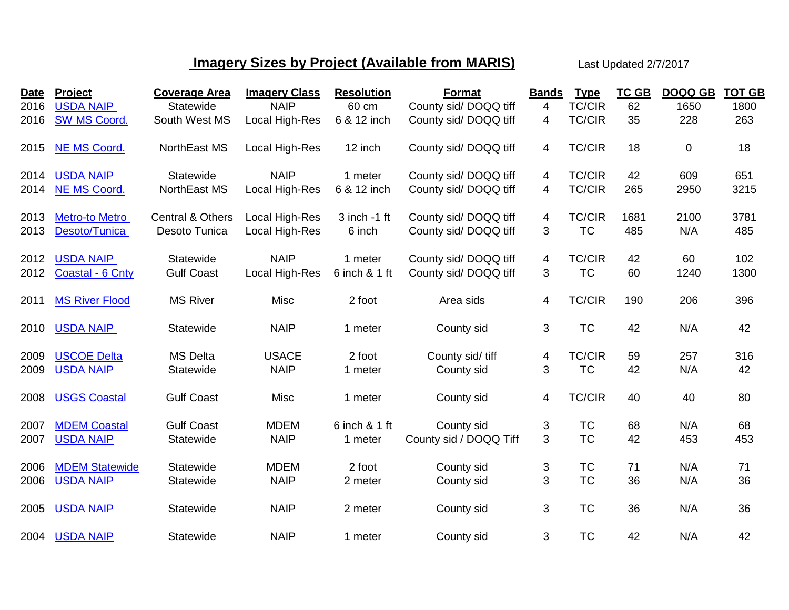## **Imagery Sizes by Project (Available from MARIS)** Last Updated 2/7/2017

| <b>Date</b> | Project               | <b>Coverage Area</b>        | <b>Imagery Class</b> | <b>Resolution</b> | <b>Format</b>          | <b>Bands</b> | <b>Type</b>   | <b>TC GB</b> | <b>DOQQ GB</b> | <b>TOT GB</b> |
|-------------|-----------------------|-----------------------------|----------------------|-------------------|------------------------|--------------|---------------|--------------|----------------|---------------|
| 2016        | <b>USDA NAIP</b>      | Statewide                   | <b>NAIP</b>          | 60 cm             | County sid/DOQQ tiff   | 4            | <b>TC/CIR</b> | 62           | 1650           | 1800          |
| 2016        | <b>SW MS Coord.</b>   | South West MS               | Local High-Res       | 6 & 12 inch       | County sid/DOQQ tiff   | 4            | <b>TC/CIR</b> | 35           | 228            | 263           |
| 2015        | <b>NE MS Coord.</b>   | NorthEast MS                | Local High-Res       | 12 inch           | County sid/DOQQ tiff   | 4            | <b>TC/CIR</b> | 18           | 0              | 18            |
| 2014        | <b>USDA NAIP</b>      | Statewide                   | <b>NAIP</b>          | 1 meter           | County sid/DOQQ tiff   | 4            | <b>TC/CIR</b> | 42           | 609            | 651           |
| 2014        | <b>NE MS Coord.</b>   | NorthEast MS                | Local High-Res       | 6 & 12 inch       | County sid/DOQQ tiff   | 4            | <b>TC/CIR</b> | 265          | 2950           | 3215          |
| 2013        | <b>Metro-to Metro</b> | <b>Central &amp; Others</b> | Local High-Res       | $3$ inch -1 ft    | County sid/DOQQ tiff   | 4            | <b>TC/CIR</b> | 1681         | 2100           | 3781          |
| 2013        | Desoto/Tunica         | Desoto Tunica               | Local High-Res       | 6 inch            | County sid/DOQQ tiff   | 3            | <b>TC</b>     | 485          | N/A            | 485           |
| 2012        | <b>USDA NAIP</b>      | Statewide                   | <b>NAIP</b>          | 1 meter           | County sid/DOQQ tiff   | 4            | <b>TC/CIR</b> | 42           | 60             | 102           |
| 2012        | Coastal - 6 Cnty      | <b>Gulf Coast</b>           | Local High-Res       | 6 inch & 1 ft     | County sid/DOQQ tiff   | 3            | <b>TC</b>     | 60           | 1240           | 1300          |
| 2011        | <b>MS River Flood</b> | <b>MS River</b>             | Misc                 | 2 foot            | Area sids              | 4            | <b>TC/CIR</b> | 190          | 206            | 396           |
| 2010        | <b>USDA NAIP</b>      | Statewide                   | <b>NAIP</b>          | 1 meter           | County sid             | 3            | <b>TC</b>     | 42           | N/A            | 42            |
| 2009        | <b>USCOE Delta</b>    | <b>MS Delta</b>             | <b>USACE</b>         | 2 foot            | County sid/ tiff       | 4            | <b>TC/CIR</b> | 59           | 257            | 316           |
| 2009        | <b>USDA NAIP</b>      | Statewide                   | <b>NAIP</b>          | 1 meter           | County sid             | 3            | <b>TC</b>     | 42           | N/A            | 42            |
| 2008        | <b>USGS Coastal</b>   | <b>Gulf Coast</b>           | Misc                 | 1 meter           | County sid             | 4            | <b>TC/CIR</b> | 40           | 40             | 80            |
| 2007        | <b>MDEM Coastal</b>   | <b>Gulf Coast</b>           | <b>MDEM</b>          | 6 inch & 1 ft     | County sid             | 3            | <b>TC</b>     | 68           | N/A            | 68            |
| 2007        | <b>USDA NAIP</b>      | Statewide                   | <b>NAIP</b>          | 1 meter           | County sid / DOQQ Tiff | 3            | <b>TC</b>     | 42           | 453            | 453           |
| 2006        | <b>MDEM Statewide</b> | Statewide                   | <b>MDEM</b>          | 2 foot            | County sid             | 3            | <b>TC</b>     | 71           | N/A            | 71            |
| 2006        | <b>USDA NAIP</b>      | Statewide                   | <b>NAIP</b>          | 2 meter           | County sid             | 3            | <b>TC</b>     | 36           | N/A            | 36            |
| 2005        | <b>USDA NAIP</b>      | Statewide                   | <b>NAIP</b>          | 2 meter           | County sid             | 3            | <b>TC</b>     | 36           | N/A            | 36            |
| 2004        | <b>USDA NAIP</b>      | Statewide                   | <b>NAIP</b>          | 1 meter           | County sid             | 3            | <b>TC</b>     | 42           | N/A            | 42            |